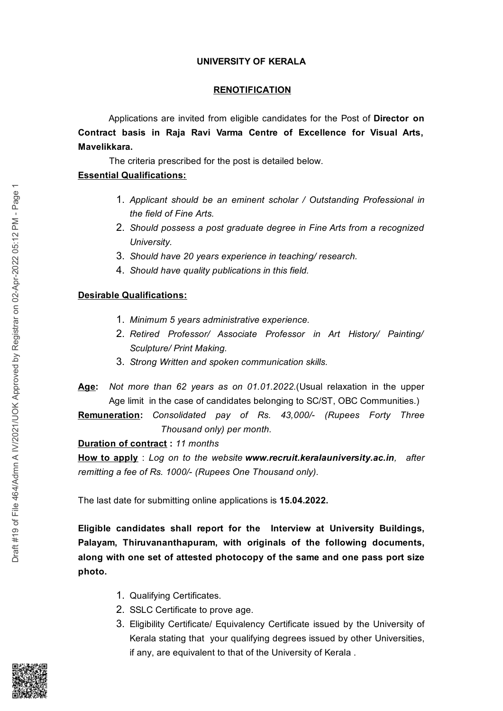## **UNIVERSITY OF KERALA**

#### **RENOTIFICATION**

Applications are invited from eligible candidates for the Post of Director on Contract basis in Raja Ravi Varma Centre of Excellence for Visual Arts, Mavelikkara.

The criteria prescribed for the post is detailed below.

## **Essential Qualifications:**

- 1. Applicant should be an eminent scholar / Outstanding Professional in the field of Fine Arts.
- 2. Should possess a post graduate degree in Fine Arts from a recognized University.
- 3. Should have 20 years experience in teaching/research.
- 4. Should have quality publications in this field.

# **Desirable Qualifications:**

- 1. Minimum 5 years administrative experience.
- 2. Retired Professor/ Associate Professor in Art History/ Painting/ Sculpture/ Print Making.
- 3. Strong Written and spoken communication skills.
- Age: Not more than 62 years as on 01.01.2022. (Usual relaxation in the upper Age limit in the case of candidates belonging to SC/ST, OBC Communities.)

Remuneration: Consolidated pay of Rs. 43,000/- (Rupees Forty Three Thousand only) per month.

Duration of contract: 11 months

How to apply: Log on to the website www.recruit.keralauniversity.ac.in. after remitting a fee of Rs. 1000/- (Rupees One Thousand only).

The last date for submitting online applications is 15.04.2022.

Eligible candidates shall report for the Interview at University Buildings, Palayam, Thiruvananthapuram, with originals of the following documents, along with one set of attested photocopy of the same and one pass port size photo.

- 1. Qualifying Certificates.
- 2. SSLC Certificate to prove age.
- 3. Eligibility Certificate/ Equivalency Certificate issued by the University of Kerala stating that your qualifying degrees issued by other Universities, if any, are equivalent to that of the University of Kerala.